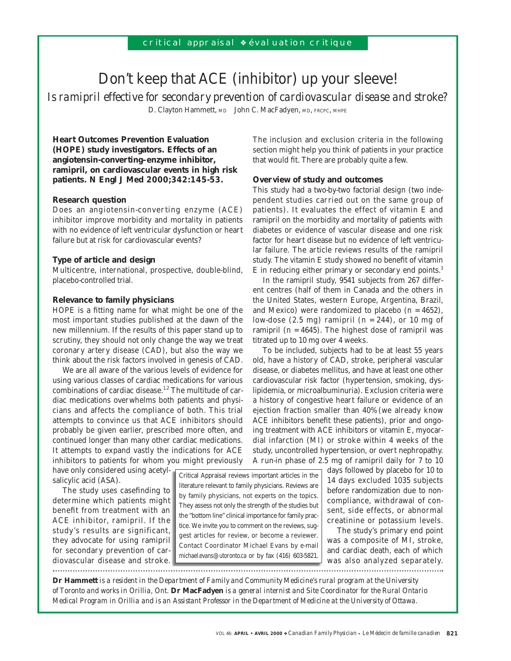# Don't keep that ACE (inhibitor) up your sleeve!

*Is ramipril effective for secondary prevention of cardiovascular disease and stroke?* D. Clayton Hammett, MD John C. MacFadyen, MD, FRCPC, MHPE

**Heart Outcomes Prevention Evaluation (HOPE) study investigators. Effects of an angiotensin-converting–enzyme inhibitor, ramipril, on cardiovascular events in high risk patients. N Engl J Med 2000;342:145-53.**

# **Research question**

Does an angiotensin-converting enzyme (ACE) inhibitor improve morbidity and mortality in patients with no evidence of left ventricular dysfunction or heart failure but at risk for cardiovascular events?

## **Type of article and design**

Multicentre, international, prospective, double-blind, placebo-controlled trial.

## **Relevance to family physicians**

HOPE is a fitting name for what might be one of the most important studies published at the dawn of the new millennium. If the results of this paper stand up to scrutiny, they should not only change the way we treat coronary artery disease (CAD), but also the way we think about the risk factors involved in genesis of CAD.

We are all aware of the various levels of evidence for using various classes of cardiac medications for various combinations of cardiac disease.<sup>1,2</sup> The multitude of cardiac medications overwhelms both patients and physicians and affects the compliance of both. This trial attempts to convince us that ACE inhibitors should probably be given earlier, prescribed more often, and continued longer than many other cardiac medications. It attempts to expand vastly the indications for ACE inhibitors to patients for whom you might previously

have only considered using acetylsalicylic acid (ASA).

The study uses casefinding to determine which patients might benefit from treatment with an ACE inhibitor, ramipril. If the study's results are significant, they advocate for using ramipril for secondary prevention of cardiovascular disease and stroke.

Critical Appraisal reviews important articles in the literature relevant to family physicians. Reviews are by family physicians, not experts on the topics. They assess not only the strength of the studies but the "bottom line" clinical importance for family practice. We invite you to comment on the reviews, suggest articles for review, or become a reviewer. Contact Coordinator Michael Evans by e-mail michael.evans@utoronto.ca or by fax (416) 603-5821.

The inclusion and exclusion criteria in the following section might help you think of patients in your practice that would fit. There are probably quite a few.

## **Overview of study and outcomes**

This study had a two-by-two factorial design (two independent studies carried out on the same group of patients). It evaluates the effect of vitamin E and ramipril on the morbidity and mortality of patients with diabetes or evidence of vascular disease and one risk factor for heart disease but no evidence of left ventricular failure. The article reviews results of the ramipril study. The vitamin E study showed no benefit of vitamin E in reducing either primary or secondary end points.3

In the ramipril study, 9541 subjects from 267 different centres (half of them in Canada and the others in the United States, western Europe, Argentina, Brazil, and Mexico) were randomized to placebo  $(n = 4652)$ , low-dose  $(2.5 \text{ mg})$  ramipril  $(n = 244)$ , or 10 mg of ramipril ( $n = 4645$ ). The highest dose of ramipril was titrated up to 10 mg over 4 weeks.

To be included, subjects had to be at least 55 years old, have a history of CAD, stroke, peripheral vascular disease, or diabetes mellitus, and have at least one other cardiovascular risk factor (hypertension, smoking, dyslipidemia, or microalbuminuria). Exclusion criteria were a history of congestive heart failure or evidence of an ejection fraction smaller than 40% (we already know ACE inhibitors benefit these patients), prior and ongoing treatment with ACE inhibitors or vitamin E, myocardial infarction (MI) or stroke within 4 weeks of the study, uncontrolled hypertension, or overt nephropathy. A run-in phase of 2.5 mg of ramipril daily for 7 to 10

> days followed by placebo for 10 to 14 days excluded 1035 subjects before randomization due to noncompliance, withdrawal of consent, side effects, or abnormal creatinine or potassium levels.

> The study's primary end point was a composite of MI, stroke, and cardiac death, each of which was also analyzed separately.

**Dr Hammett** *is a resident in the Department of Family and Community Medicine's rural program at the University of Toronto and works in Orillia, Ont.* **Dr MacFadyen** *is a general internist and Site Coordinator for the Rural Ontario Medical Program in Orillia and is an Assistant Professor in the Department of Medicine at the University of Ottawa.*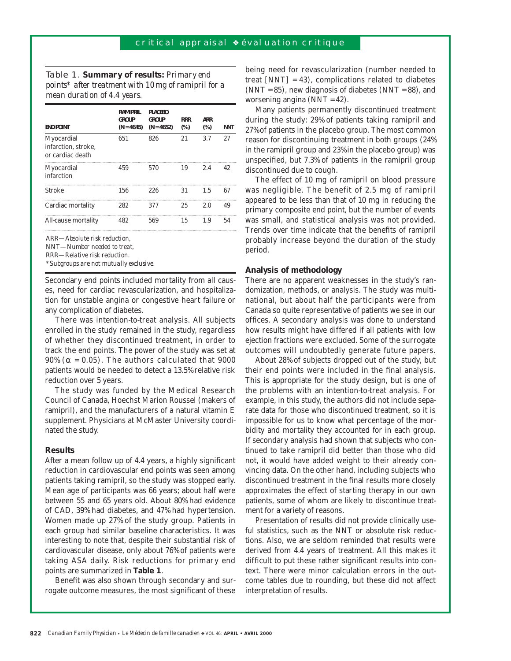Table 1. **Summary of results:** *Primary end points\* after treatment with 10 mg of ramipril for a mean duration of 4.4 years.*

| <b>END POINT</b>                                      | <b>RAMIPRIL</b><br><b>GROUP</b><br>$(N = 4645)$ | <b>PLACEBO</b><br><b>GROUP</b><br>$(N = 4652)$ | <b>RRR</b><br>$(\%)$ | <b>ARR</b><br>$(\%)$ | <b>NNT</b> |
|-------------------------------------------------------|-------------------------------------------------|------------------------------------------------|----------------------|----------------------|------------|
| Myocardial<br>infarction, stroke,<br>or cardiac death | 651                                             | 826                                            | 21                   | 3.7                  | 27         |
| Myocardial<br>infarction                              | 459                                             | 570                                            | 19                   | 2.4                  | 42.        |
| <b>Stroke</b>                                         | 156                                             | 226                                            | 31                   | 1.5                  | 67         |
| Cardiac mortality                                     | 282                                             | 377                                            | 25                   | 2.0                  | 49         |
| All-cause mortality                                   | 482                                             | 569                                            | 15                   | 1.9                  | 54         |

ARR*—Absolute risk reduction,* 

NNT*—Number needed to treat* 

RRR*—Relative risk reduction.*

*\*Subgroups are not mutually exclusive.*

Secondary end points included mortality from all causes, need for cardiac revascularization, and hospitalization for unstable angina or congestive heart failure or any complication of diabetes.

There was intention-to-treat analysis. All subjects enrolled in the study remained in the study, regardless of whether they discontinued treatment, in order to track the end points. The power of the study was set at 90% ( $\alpha$  = 0.05). The authors calculated that 9000 patients would be needed to detect a 13.5% relative risk reduction over 5 years.

The study was funded by the Medical Research Council of Canada, Hoechst Marion Roussel (makers of ramipril), and the manufacturers of a natural vitamin E supplement. Physicians at McMaster University coordinated the study.

# **Results**

After a mean follow up of 4.4 years, a highly significant reduction in cardiovascular end points was seen among patients taking ramipril, so the study was stopped early. Mean age of participants was 66 years; about half were between 55 and 65 years old. About 80% had evidence of CAD, 39% had diabetes, and 47% had hypertension. Women made up 27% of the study group. Patients in each group had similar baseline characteristics. It was interesting to note that, despite their substantial risk of cardiovascular disease, only about 76% of patients were taking ASA daily. Risk reductions for primary end points are summarized in **Table 1**.

Benefit was also shown through secondary and surrogate outcome measures, the most significant of these being need for revascularization (number needed to treat  $[NNT] = 43$ , complications related to diabetes  $(NNT = 85)$ , new diagnosis of diabetes  $(NNT = 88)$ , and worsening angina (NNT = 42).

Many patients permanently discontinued treatment during the study: 29% of patients taking ramipril and 27% of patients in the placebo group. The most common reason for discontinuing treatment in both groups (24% in the ramipril group and 23% in the placebo group) was unspecified, but 7.3% of patients in the ramipril group discontinued due to cough.

The effect of 10 mg of ramipril on blood pressure was negligible. The benefit of 2.5 mg of ramipril appeared to be less than that of 10 mg in reducing the primary composite end point, but the number of events was small, and statistical analysis was not provided. Trends over time indicate that the benefits of ramipril probably increase beyond the duration of the study period.

#### **Analysis of methodology**

There are no apparent weaknesses in the study's randomization, methods, or analysis. The study was multinational, but about half the participants were from Canada so quite representative of patients we see in our offices. A secondary analysis was done to understand how results might have differed if all patients with low ejection fractions were excluded. Some of the surrogate outcomes will undoubtedly generate future papers.

About 28% of subjects dropped out of the study, but their end points were included in the final analysis. This is appropriate for the study design, but is one of the problems with an intention-to-treat analysis. For example, in this study, the authors did not include separate data for those who discontinued treatment, so it is impossible for us to know what percentage of the morbidity and mortality they accounted for in each group. If secondary analysis had shown that subjects who continued to take ramipril did better than those who did not, it would have added weight to their already convincing data. On the other hand, including subjects who discontinued treatment in the final results more closely approximates the effect of starting therapy in our own patients, some of whom are likely to discontinue treatment for a variety of reasons.

Presentation of results did not provide clinically useful statistics, such as the NNT or absolute risk reductions. Also, we are seldom reminded that results were derived from 4.4 years of treatment. All this makes it difficult to put these rather significant results into context. There were minor calculation errors in the outcome tables due to rounding, but these did not affect interpretation of results.